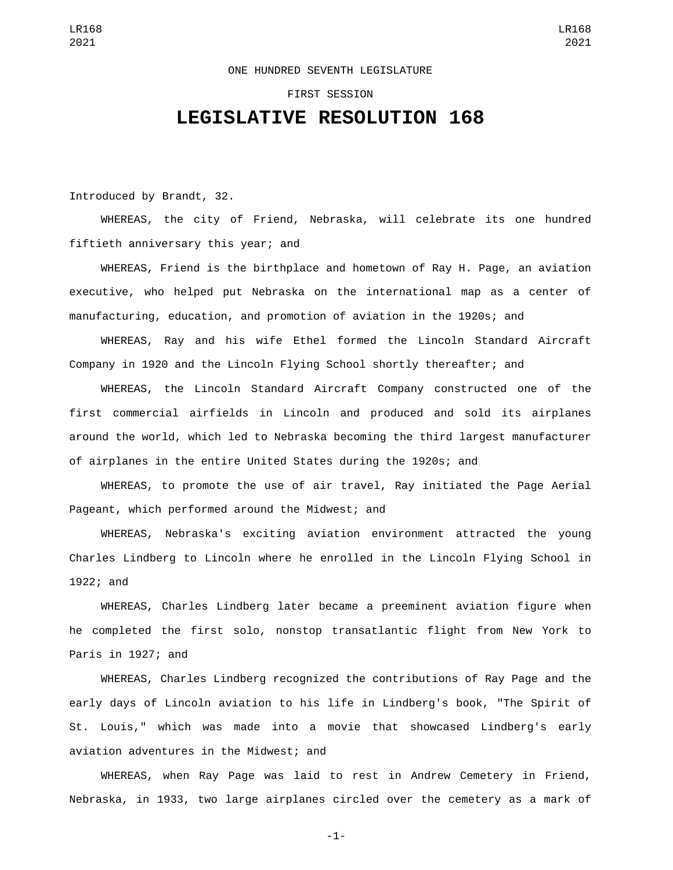## ONE HUNDRED SEVENTH LEGISLATURE

## FIRST SESSION

## **LEGISLATIVE RESOLUTION 168**

Introduced by Brandt, 32.

WHEREAS, the city of Friend, Nebraska, will celebrate its one hundred fiftieth anniversary this year; and

WHEREAS, Friend is the birthplace and hometown of Ray H. Page, an aviation executive, who helped put Nebraska on the international map as a center of manufacturing, education, and promotion of aviation in the 1920s; and

WHEREAS, Ray and his wife Ethel formed the Lincoln Standard Aircraft Company in 1920 and the Lincoln Flying School shortly thereafter; and

WHEREAS, the Lincoln Standard Aircraft Company constructed one of the first commercial airfields in Lincoln and produced and sold its airplanes around the world, which led to Nebraska becoming the third largest manufacturer of airplanes in the entire United States during the 1920s; and

WHEREAS, to promote the use of air travel, Ray initiated the Page Aerial Pageant, which performed around the Midwest; and

WHEREAS, Nebraska's exciting aviation environment attracted the young Charles Lindberg to Lincoln where he enrolled in the Lincoln Flying School in 1922; and

WHEREAS, Charles Lindberg later became a preeminent aviation figure when he completed the first solo, nonstop transatlantic flight from New York to Paris in 1927; and

WHEREAS, Charles Lindberg recognized the contributions of Ray Page and the early days of Lincoln aviation to his life in Lindberg's book, "The Spirit of St. Louis," which was made into a movie that showcased Lindberg's early aviation adventures in the Midwest; and

WHEREAS, when Ray Page was laid to rest in Andrew Cemetery in Friend, Nebraska, in 1933, two large airplanes circled over the cemetery as a mark of

-1-